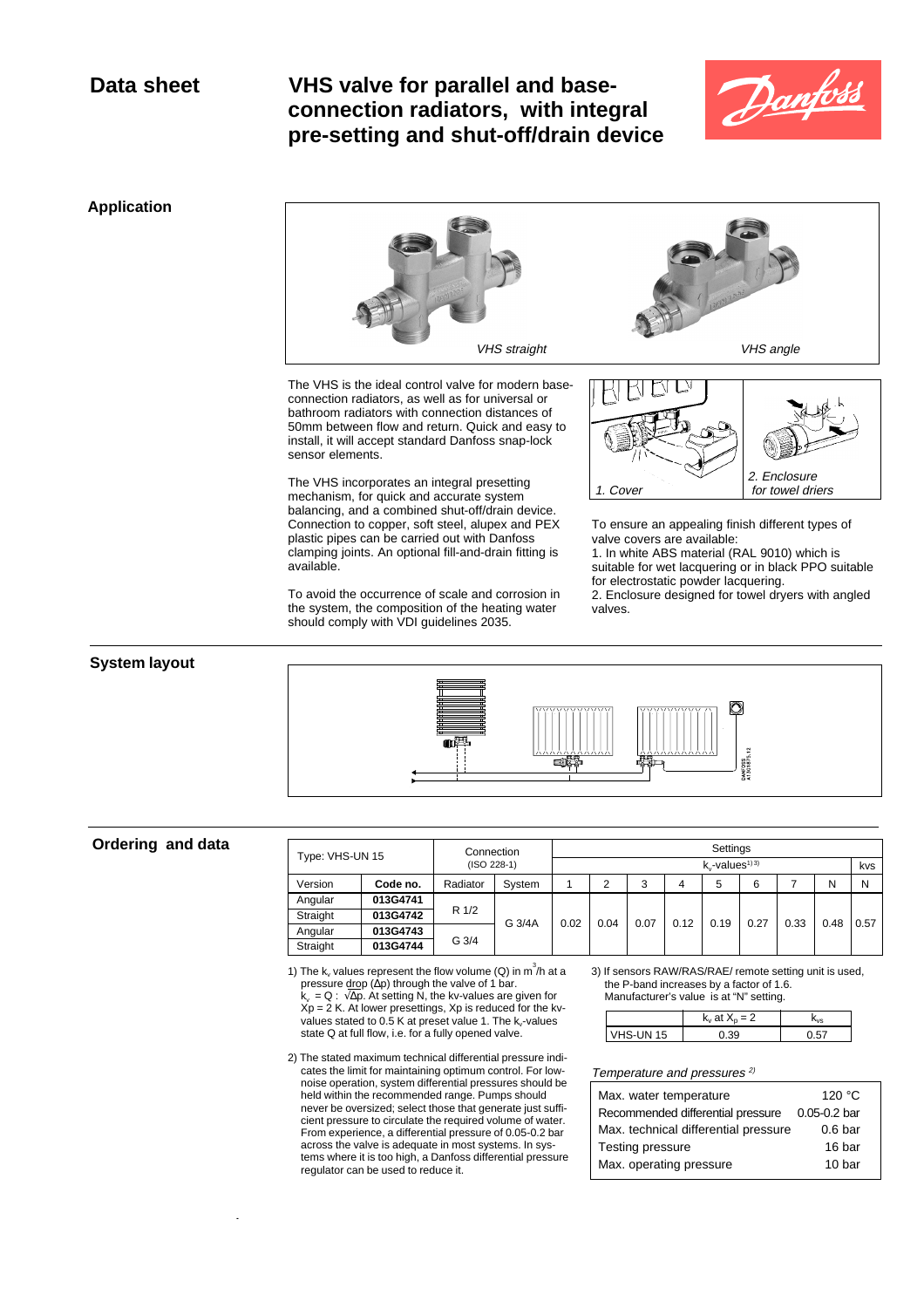# **Data sheet VHS valve for parallel and baseconnection radiators, with integral pre-setting and shut-off/drain device**



## **Application**



The VHS is the ideal control valve for modern baseconnection radiators, as well as for universal or bathroom radiators with connection distances of 50mm between flow and return. Quick and easy to install, it will accept standard Danfoss snap-lock sensor elements.

The VHS incorporates an integral presetting mechanism, for quick and accurate system balancing, and a combined shut-off/drain device. Connection to copper, soft steel, alupex and PEX plastic pipes can be carried out with Danfoss clamping joints. An optional fill-and-drain fitting is available.

To avoid the occurrence of scale and corrosion in the system, the composition of the heating water should comply with VDI guidelines 2035.



To ensure an appealing finish different types of valve covers are available:

1. In white ABS material (RAL 9010) which is suitable for wet lacquering or in black PPO suitable for electrostatic powder lacquering.

2. Enclosure designed for towel dryers with angled valves.

### **System layout**



# **Ordering and data**

**.**

| Type: VHS-UN 15 |          | Connection       |        | Settings |      |      |      |                                  |      |      |      |      |
|-----------------|----------|------------------|--------|----------|------|------|------|----------------------------------|------|------|------|------|
|                 |          | $(ISO 228-1)$    |        |          |      |      |      | $k_{y}$ -values <sup>1) 3)</sup> |      |      |      | kvs  |
| Version         | Code no. | Radiator         | System |          | າ    | 3    | 4    | 5                                | 6    |      | N    | N    |
| Angular         | 013G4741 | R 1/2            | G 3/4A | 0.02     | 0.04 | 0.07 | 0.12 | 0.19                             | 0.27 | 0.33 | 0.48 | 0.57 |
| Straight        | 013G4742 |                  |        |          |      |      |      |                                  |      |      |      |      |
| Angular         | 013G4743 | G <sub>3/4</sub> |        |          |      |      |      |                                  |      |      |      |      |
| Straight        | 013G4744 |                  |        |          |      |      |      |                                  |      |      |      |      |

1) The  $k_v$  values represent the flow volume (Q) in  $m^3/h$  at a pressure drop ( $\Delta p$ ) through the valve of 1 bar.

k<sub>v</sub> = Q : √∆p. At setting N, the kv-values are given for<br>Xp = 2 K. At lower presettings, Xp is reduced for the kvvalues stated to 0.5 K at preset value 1. The k<sub>v</sub>-values state Q at full flow, i.e. for a fully opened valve.

2) The stated maximum technical differential pressure indicates the limit for maintaining optimum control. For low-noise operation, system differential pressures should be held within the recommended range. Pumps should never be oversized; select those that generate just sufficient pressure to circulate the required volume of water. From experience, a differential pressure of 0.05-0.2 bar across the valve is adequate in most systems. In systems where it is too high, a Danfoss differential pressure regulator can be used to reduce it.

3) If sensors RAW/RAS/RAE/ remote setting unit is used, the P-band increases by a factor of 1.6.

Manufacturer's value is at "N" setting.  $k_v$  at  $X_p = 2$  k<sub>v</sub> VHS-UN 15 0.39 0.57

### Temperature and pressures<sup>2)</sup>

| Max. water temperature               | 120 $^{\circ}$ C   |
|--------------------------------------|--------------------|
| Recommended differential pressure    | $0.05 - 0.2$ bar   |
| Max. technical differential pressure | 0.6 <sub>bar</sub> |
| Testing pressure                     | 16 bar             |
| Max. operating pressure              | 10 bar             |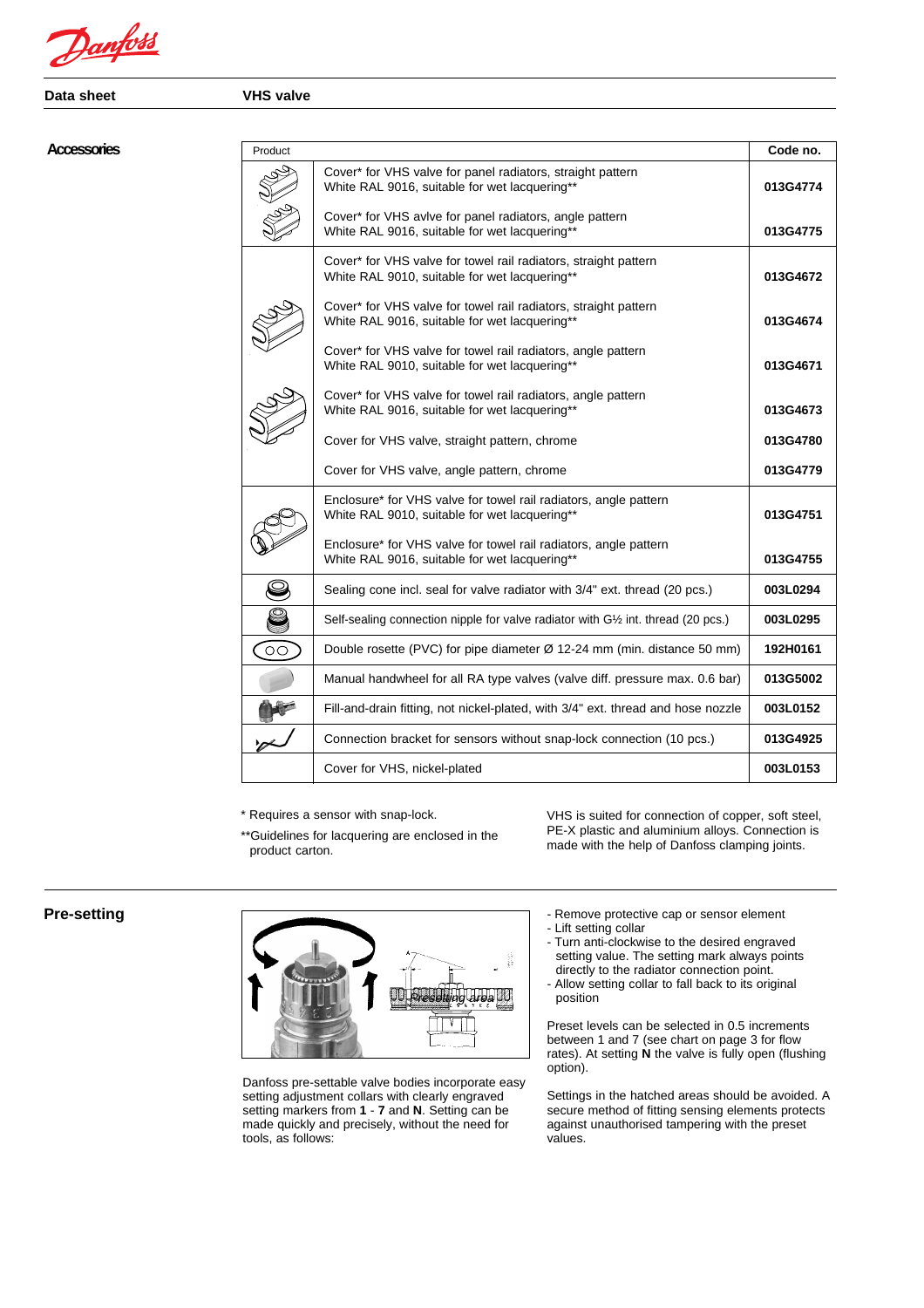Danfoss

**Data sheet VHS valve**

### **Accessories**

| Product         |                                                                                                                   | Code no. |
|-----------------|-------------------------------------------------------------------------------------------------------------------|----------|
|                 | Cover* for VHS valve for panel radiators, straight pattern<br>White RAL 9016, suitable for wet lacquering**       | 013G4774 |
|                 | Cover* for VHS avive for panel radiators, angle pattern<br>White RAL 9016, suitable for wet lacquering**          | 013G4775 |
|                 | Cover* for VHS valve for towel rail radiators, straight pattern<br>White RAL 9010, suitable for wet lacquering**  | 013G4672 |
|                 | Cover* for VHS valve for towel rail radiators, straight pattern<br>White RAL 9016, suitable for wet lacquering**  | 013G4674 |
|                 | Cover* for VHS valve for towel rail radiators, angle pattern<br>White RAL 9010, suitable for wet lacquering**     | 013G4671 |
|                 | Cover* for VHS valve for towel rail radiators, angle pattern<br>White RAL 9016, suitable for wet lacquering**     | 013G4673 |
|                 | Cover for VHS valve, straight pattern, chrome                                                                     | 013G4780 |
|                 | Cover for VHS valve, angle pattern, chrome                                                                        | 013G4779 |
|                 | Enclosure* for VHS valve for towel rail radiators, angle pattern<br>White RAL 9010, suitable for wet lacquering** | 013G4751 |
|                 | Enclosure* for VHS valve for towel rail radiators, angle pattern<br>White RAL 9016, suitable for wet lacquering** | 013G4755 |
|                 | Sealing cone incl. seal for valve radiator with 3/4" ext. thread (20 pcs.)                                        | 003L0294 |
| g               | Self-sealing connection nipple for valve radiator with G1/2 int. thread (20 pcs.)                                 | 003L0295 |
| $\overline{O}O$ | Double rosette (PVC) for pipe diameter $\varnothing$ 12-24 mm (min. distance 50 mm)                               | 192H0161 |
|                 | Manual handwheel for all RA type valves (valve diff. pressure max. 0.6 bar)                                       | 013G5002 |
|                 | Fill-and-drain fitting, not nickel-plated, with 3/4" ext. thread and hose nozzle                                  | 003L0152 |
|                 | Connection bracket for sensors without snap-lock connection (10 pcs.)                                             | 013G4925 |
|                 | Cover for VHS, nickel-plated                                                                                      | 003L0153 |

\* Requires a sensor with snap-lock.

\*\*Guidelines for lacquering are enclosed in the product carton.

VHS is suited for connection of copper, soft steel, PE-X plastic and aluminium alloys. Connection is made with the help of Danfoss clamping joints.

# **Pre-setting**



Danfoss pre-settable valve bodies incorporate easy setting adjustment collars with clearly engraved setting markers from **1** - **7** and **N**. Setting can be made quickly and precisely, without the need for tools, as follows:

- Remove protective cap or sensor element
- Lift setting collar
- Turn anti-clockwise to the desired engraved setting value. The setting mark always points directly to the radiator connection point.
- Allow setting collar to fall back to its original position

Preset levels can be selected in 0.5 increments between 1 and 7 (see chart on page 3 for flow rates). At setting **N** the valve is fully open (flushing option).

Settings in the hatched areas should be avoided. A secure method of fitting sensing elements protects against unauthorised tampering with the preset values.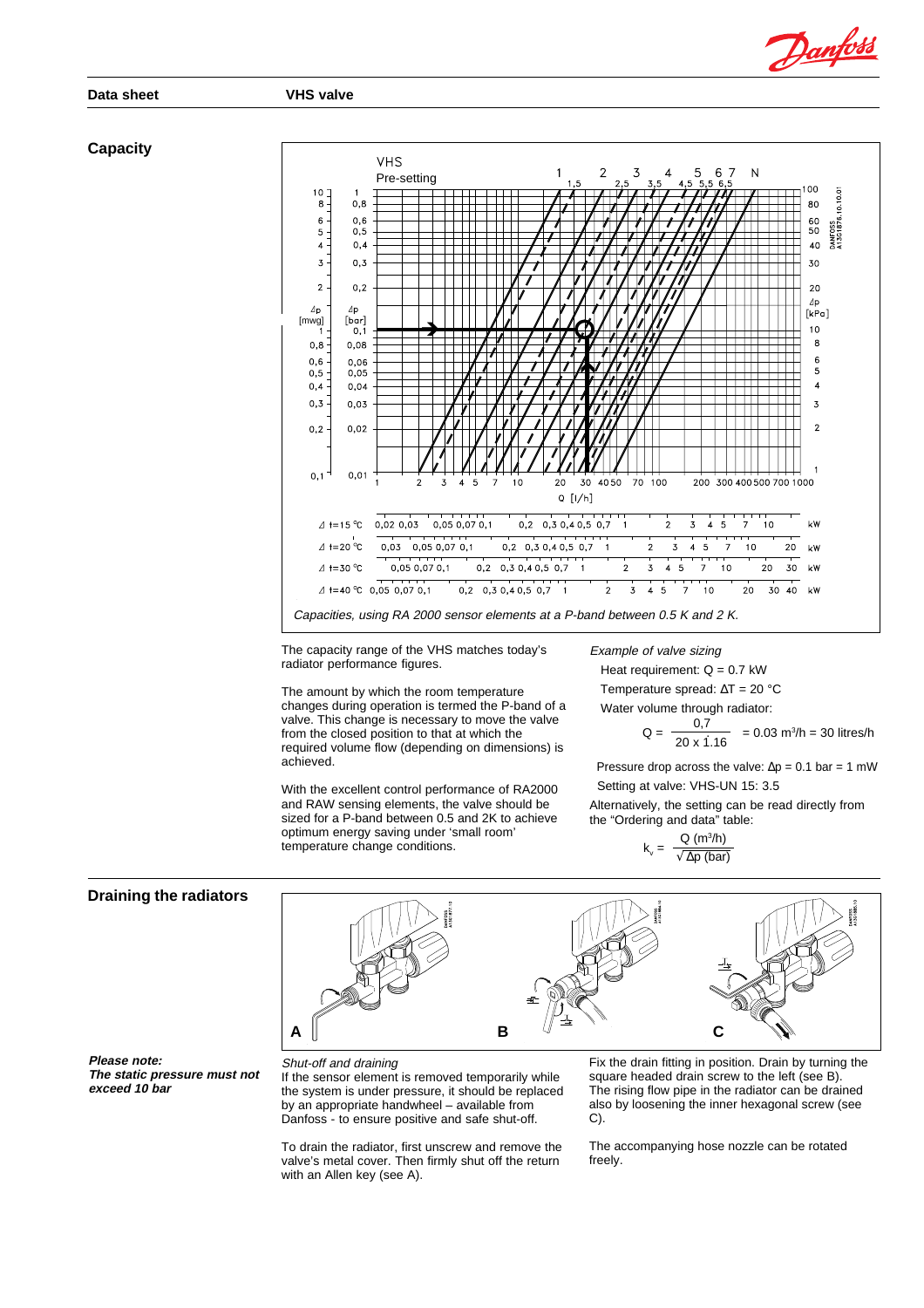**Data sheet VHS valve**

### **Capacity**



The capacity range of the VHS matches today's radiator performance figures.

The amount by which the room temperature changes during operation is termed the P-band of a valve. This change is necessary to move the valve from the closed position to that at which the required volume flow (depending on dimensions) is achieved.

With the excellent control performance of RA2000 and RAW sensing elements, the valve should be sized for a P-band between 0.5 and 2K to achieve optimum energy saving under 'small room' temperature change conditions.

Example of valve sizing

Heat requirement:  $Q = 0.7$  kW

Temperature spread: ∆T = 20 °C

Water volume through radiator:\n
$$
0.7
$$

$$
Q = \frac{0.7}{20 \times 1.16} = 0.03 \text{ m}^3/\text{h} = 30 \text{ litres/h}
$$

Pressure drop across the valve:  $\Delta p = 0.1$  bar = 1 mW Setting at valve: VHS-UN 15: 3.5

Alternatively, the setting can be read directly from the "Ordering and data" table:

$$
k_{v} = \frac{Q (m^{3}/h)}{\sqrt{\Delta p (bar)}}
$$

### **Draining the radiators**



**Please note: The static pressure must not exceed 10 bar**

### Shut-off and draining

If the sensor element is removed temporarily while the system is under pressure, it should be replaced by an appropriate handwheel – available from Danfoss - to ensure positive and safe shut-off.

To drain the radiator, first unscrew and remove the valve's metal cover. Then firmly shut off the return with an Allen key (see A).

Fix the drain fitting in position. Drain by turning the square headed drain screw to the left (see B). The rising flow pipe in the radiator can be drained also by loosening the inner hexagonal screw (see C).

The accompanying hose nozzle can be rotated freely.